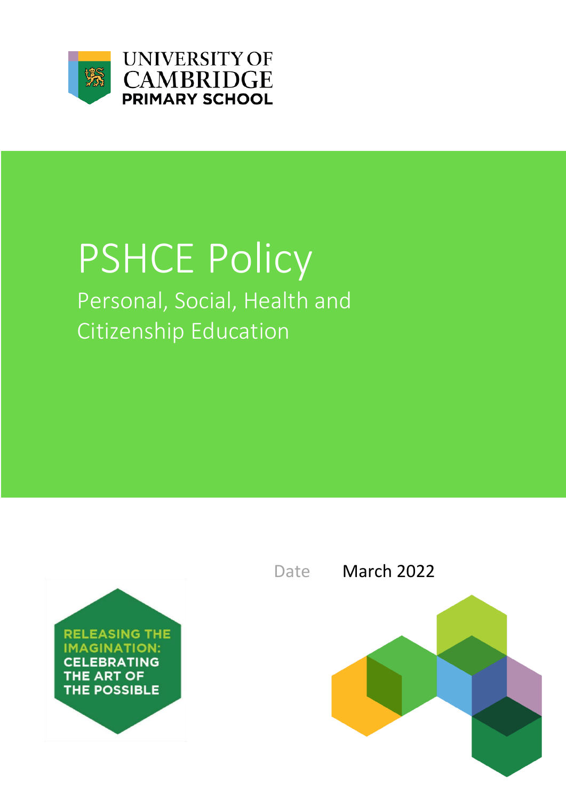

**UNIVERSITY OF CAMBRIDGE PRIMARY SCHOOL** 

# PSHCE Policy Personal, Social, Health and Citizenship Education



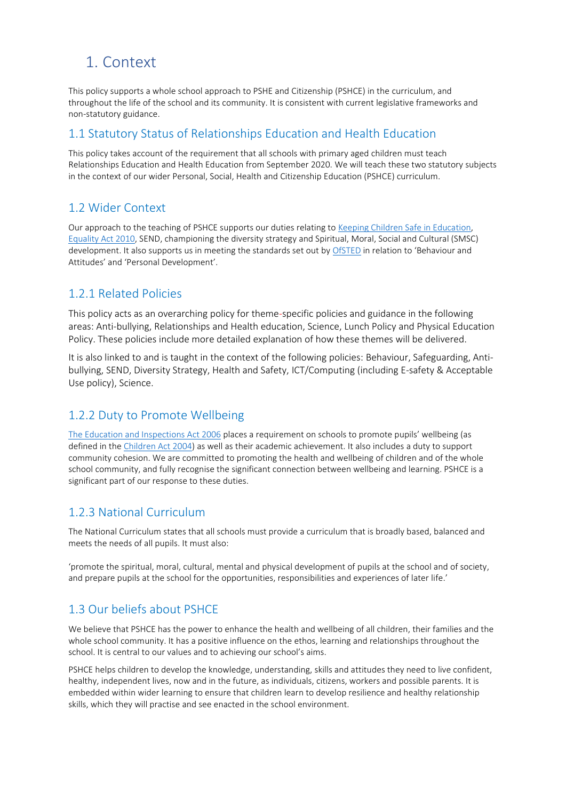# 1. Context

This policy supports a whole school approach to PSHE and Citizenship (PSHCE) in the curriculum, and throughout the life of the school and its community. It is consistent with current legislative frameworks and non-statutory guidance.

#### 1.1 Statutory Status of Relationships Education and Health Education

This policy takes account of the requirement that all schools with primary aged children must teach Relationships Education and Health Education from September 2020. We will teach these two statutory subjects in the context of our wider Personal, Social, Health and Citizenship Education (PSHCE) curriculum.

#### 1.2 Wider Context

Our approach to the teaching of PSHCE supports our duties relating to [Keeping Children Safe in Education,](https://assets.publishing.service.gov.uk/government/uploads/system/uploads/attachment_data/file/835733/Keeping_children_safe_in_education_2019.pdf)  [Equality Act 2010,](http://www.legislation.gov.uk/ukpga/2010/15/contents) SEND, championing the diversity strategy and Spiritual, Moral, Social and Cultural (SMSC) development. It also supports us in meeting the standards set out by [OfSTED](https://assets.publishing.service.gov.uk/government/uploads/system/uploads/attachment_data/file/843108/School_inspection_handbook_-_section_5.pdf) in relation to 'Behaviour and Attitudes' and 'Personal Development'.

#### 1.2.1 Related Policies

This policy acts as an overarching policy for theme-specific policies and guidance in the following areas: Anti-bullying, Relationships and Health education, Science, Lunch Policy and Physical Education Policy. These policies include more detailed explanation of how these themes will be delivered.

It is also linked to and is taught in the context of the following policies: Behaviour, Safeguarding, Antibullying, SEND, Diversity Strategy, Health and Safety, ICT/Computing (including E-safety & Acceptable Use policy), Science.

#### 1.2.2 Duty to Promote Wellbeing

[The Education and Inspections Act 2006](http://www.legislation.gov.uk/ukpga/2006/40/contents) places a requirement on schools to promote pupils' wellbeing (as defined in the [Children Act 2004\)](https://webarchive.nationalarchives.gov.uk/20130403214153/https:/www.education.gov.uk/publications/eOrderingDownload/DFES-0036-2007.pdf) as well as their academic achievement. It also includes a duty to support community cohesion. We are committed to promoting the health and wellbeing of children and of the whole school community, and fully recognise the significant connection between wellbeing and learning. PSHCE is a significant part of our response to these duties.

#### 1.2.3 National Curriculum

The National Curriculum states that all schools must provide a curriculum that is broadly based, balanced and meets the needs of all pupils. It must also:

'promote the spiritual, moral, cultural, mental and physical development of pupils at the school and of society, and prepare pupils at the school for the opportunities, responsibilities and experiences of later life.'

#### 1.3 Our beliefs about PSHCE

We believe that PSHCE has the power to enhance the health and wellbeing of all children, their families and the whole school community. It has a positive influence on the ethos, learning and relationships throughout the school. It is central to our values and to achieving our school's aims.

PSHCE helps children to develop the knowledge, understanding, skills and attitudes they need to live confident, healthy, independent lives, now and in the future, as individuals, citizens, workers and possible parents. It is embedded within wider learning to ensure that children learn to develop resilience and healthy relationship skills, which they will practise and see enacted in the school environment.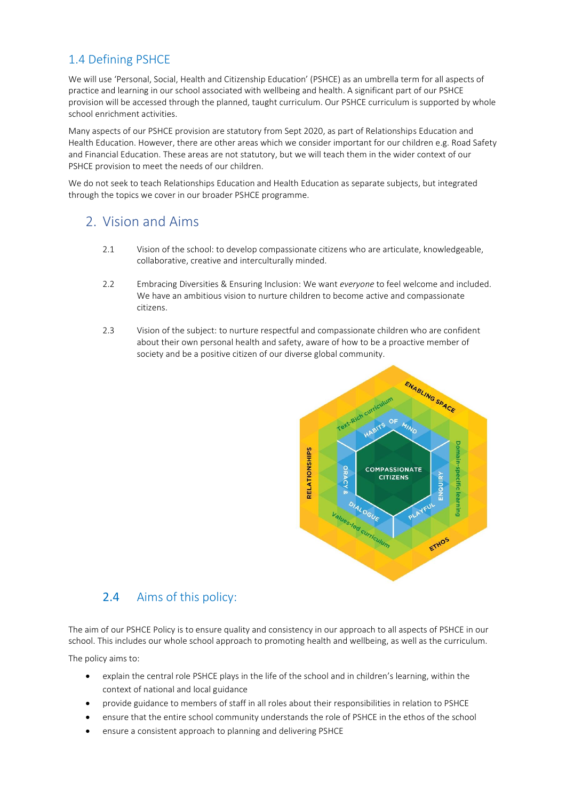#### 1.4 Defining PSHCE

We will use 'Personal, Social, Health and Citizenship Education' (PSHCE) as an umbrella term for all aspects of practice and learning in our school associated with wellbeing and health. A significant part of our PSHCE provision will be accessed through the planned, taught curriculum. Our PSHCE curriculum is supported by whole school enrichment activities.

Many aspects of our PSHCE provision are statutory from Sept 2020, as part of Relationships Education and Health Education. However, there are other areas which we consider important for our children e.g. Road Safety and Financial Education. These areas are not statutory, but we will teach them in the wider context of our PSHCE provision to meet the needs of our children.

We do not seek to teach Relationships Education and Health Education as separate subjects, but integrated through the topics we cover in our broader PSHCE programme.

## 2. Vision and Aims

- 2.1 Vision of the school: to develop compassionate citizens who are articulate, knowledgeable, collaborative, creative and interculturally minded.
- 2.2 Embracing Diversities & Ensuring Inclusion: We want *everyone* to feel welcome and included. We have an ambitious vision to nurture children to become active and compassionate citizens.
- 2.3 Vision of the subject: to nurture respectful and compassionate children who are confident about their own personal health and safety, aware of how to be a proactive member of society and be a positive citizen of our diverse global community.



#### 2.4 Aims of this policy:

The aim of our PSHCE Policy is to ensure quality and consistency in our approach to all aspects of PSHCE in our school. This includes our whole school approach to promoting health and wellbeing, as well as the curriculum.

The policy aims to:

- explain the central role PSHCE plays in the life of the school and in children's learning, within the context of national and local guidance
- provide guidance to members of staff in all roles about their responsibilities in relation to PSHCE
- ensure that the entire school community understands the role of PSHCE in the ethos of the school
- ensure a consistent approach to planning and delivering PSHCE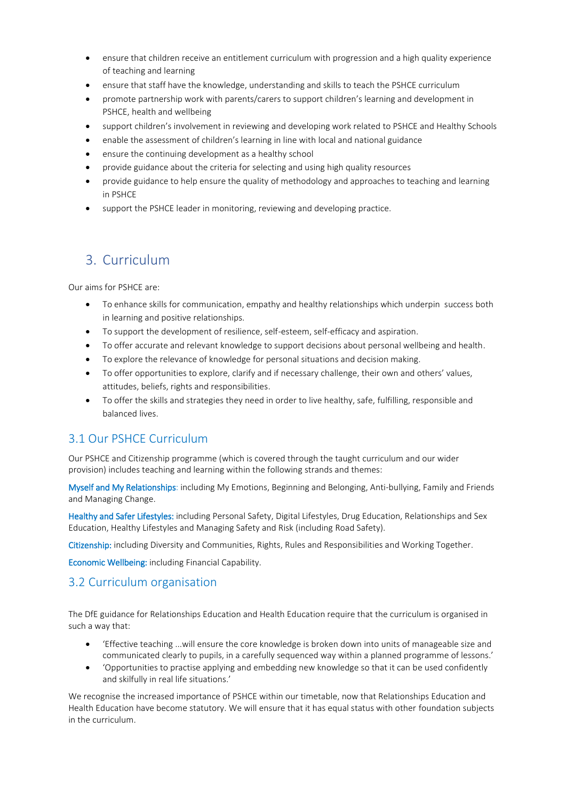- ensure that children receive an entitlement curriculum with progression and a high quality experience of teaching and learning
- ensure that staff have the knowledge, understanding and skills to teach the PSHCE curriculum
- promote partnership work with parents/carers to support children's learning and development in PSHCE, health and wellbeing
- support children's involvement in reviewing and developing work related to PSHCE and Healthy Schools
- enable the assessment of children's learning in line with local and national guidance
- ensure the continuing development as a healthy school
- provide guidance about the criteria for selecting and using high quality resources
- provide guidance to help ensure the quality of methodology and approaches to teaching and learning in PSHCE
- support the PSHCE leader in monitoring, reviewing and developing practice.

# 3. Curriculum

Our aims for PSHCE are:

- To enhance skills for communication, empathy and healthy relationships which underpin success both in learning and positive relationships.
- To support the development of resilience, self-esteem, self-efficacy and aspiration.
- To offer accurate and relevant knowledge to support decisions about personal wellbeing and health.
- To explore the relevance of knowledge for personal situations and decision making.
- To offer opportunities to explore, clarify and if necessary challenge, their own and others' values, attitudes, beliefs, rights and responsibilities.
- To offer the skills and strategies they need in order to live healthy, safe, fulfilling, responsible and balanced lives.

#### 3.1 Our PSHCE Curriculum

Our PSHCE and Citizenship programme (which is covered through the taught curriculum and our wider provision) includes teaching and learning within the following strands and themes:

Myself and My Relationships: including My Emotions, Beginning and Belonging, Anti-bullying, Family and Friends and Managing Change.

Healthy and Safer Lifestyles: including Personal Safety, Digital Lifestyles, Drug Education, Relationships and Sex Education, Healthy Lifestyles and Managing Safety and Risk (including Road Safety).

Citizenship: including Diversity and Communities, Rights, Rules and Responsibilities and Working Together.

Economic Wellbeing: including Financial Capability.

#### 3.2 Curriculum organisation

The DfE guidance for Relationships Education and Health Education require that the curriculum is organised in such a way that:

- 'Effective teaching ...will ensure the core knowledge is broken down into units of manageable size and communicated clearly to pupils, in a carefully sequenced way within a planned programme of lessons.'
- 'Opportunities to practise applying and embedding new knowledge so that it can be used confidently and skilfully in real life situations.'

We recognise the increased importance of PSHCE within our timetable, now that Relationships Education and Health Education have become statutory. We will ensure that it has equal status with other foundation subjects in the curriculum.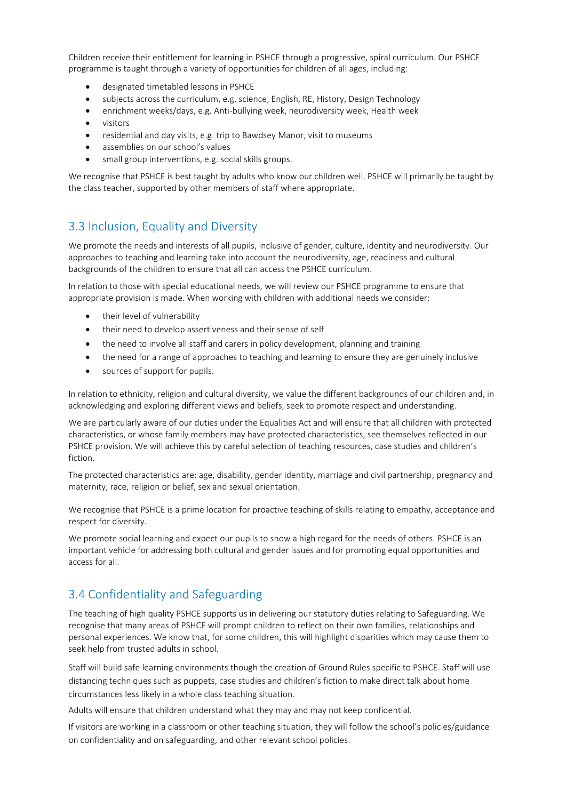Children receive their entitlement for learning in PSHCE through a progressive, spiral curriculum. Our PSHCE programme is taught through a variety of opportunities for children of all ages, including:

- designated timetabled lessons in PSHCE
- subjects across the curriculum, e.g. science, English, RE, History, Design Technology
- enrichment weeks/days, e.g. Anti-bullying week, neurodiversity week, Health week
- visitors
- residential and day visits, e.g. trip to Bawdsey Manor, visit to museums
- assemblies on our school's values
- small group interventions, e.g. social skills groups.

We recognise that PSHCE is best taught by adults who know our children well. PSHCE will primarily be taught by the class teacher, supported by other members of staff where appropriate.

#### 3.3 Inclusion, Equality and Diversity

We promote the needs and interests of all pupils, inclusive of gender, culture, identity and neurodiversity. Our approaches to teaching and learning take into account the neurodiversity, age, readiness and cultural backgrounds of the children to ensure that all can access the PSHCE curriculum.

In relation to those with special educational needs, we will review our PSHCE programme to ensure that appropriate provision is made. When working with children with additional needs we consider:

- their level of vulnerability
- their need to develop assertiveness and their sense of self
- the need to involve all staff and carers in policy development, planning and training
- the need for a range of approaches to teaching and learning to ensure they are genuinely inclusive
- sources of support for pupils.

In relation to ethnicity, religion and cultural diversity, we value the different backgrounds of our children and, in acknowledging and exploring different views and beliefs, seek to promote respect and understanding.

We are particularly aware of our duties under the Equalities Act and will ensure that all children with protected characteristics, or whose family members may have protected characteristics, see themselves reflected in our PSHCE provision. We will achieve this by careful selection of teaching resources, case studies and children's fiction.

The protected characteristics are: age, disability, gender identity, marriage and civil partnership, pregnancy and maternity, race, religion or belief, sex and sexual orientation.

We recognise that PSHCE is a prime location for proactive teaching of skills relating to empathy, acceptance and respect for diversity.

We promote social learning and expect our pupils to show a high regard for the needs of others. PSHCE is an important vehicle for addressing both cultural and gender issues and for promoting equal opportunities and access for all.

#### 3.4 Confidentiality and Safeguarding

The teaching of high quality PSHCE supports us in delivering our statutory duties relating to Safeguarding. We recognise that many areas of PSHCE will prompt children to reflect on their own families, relationships and personal experiences. We know that, for some children, this will highlight disparities which may cause them to seek help from trusted adults in school.

Staff will build safe learning environments though the creation of Ground Rules specific to PSHCE. Staff will use distancing techniques such as puppets, case studies and children's fiction to make direct talk about home circumstances less likely in a whole class teaching situation.

Adults will ensure that children understand what they may and may not keep confidential.

If visitors are working in a classroom or other teaching situation, they will follow the school's policies/guidance on confidentiality and on safeguarding, and other relevant school policies.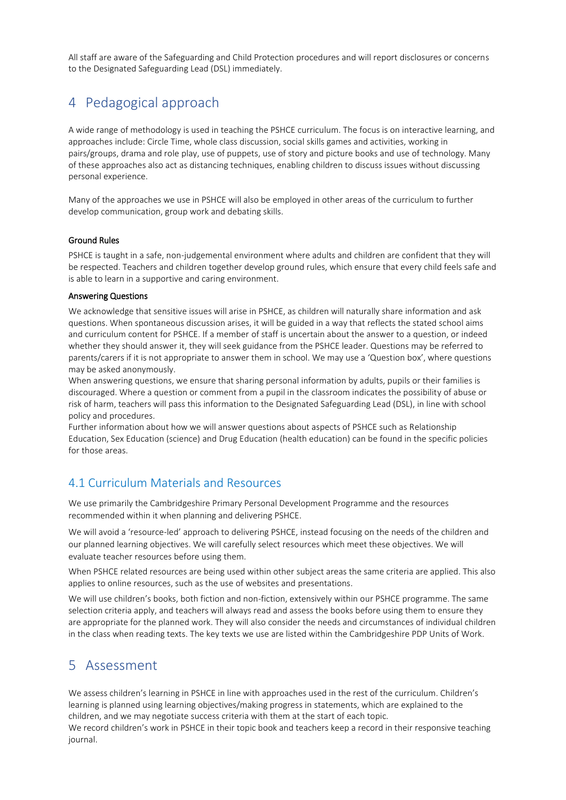All staff are aware of the Safeguarding and Child Protection procedures and will report disclosures or concerns to the Designated Safeguarding Lead (DSL) immediately.

# 4 Pedagogical approach

A wide range of methodology is used in teaching the PSHCE curriculum. The focus is on interactive learning, and approaches include: Circle Time, whole class discussion, social skills games and activities, working in pairs/groups, drama and role play, use of puppets, use of story and picture books and use of technology. Many of these approaches also act as distancing techniques, enabling children to discuss issues without discussing personal experience.

Many of the approaches we use in PSHCE will also be employed in other areas of the curriculum to further develop communication, group work and debating skills.

#### Ground Rules

PSHCE is taught in a safe, non-judgemental environment where adults and children are confident that they will be respected. Teachers and children together develop ground rules, which ensure that every child feels safe and is able to learn in a supportive and caring environment.

#### Answering Questions

We acknowledge that sensitive issues will arise in PSHCE, as children will naturally share information and ask questions. When spontaneous discussion arises, it will be guided in a way that reflects the stated school aims and curriculum content for PSHCE. If a member of staff is uncertain about the answer to a question, or indeed whether they should answer it, they will seek guidance from the PSHCE leader. Questions may be referred to parents/carers if it is not appropriate to answer them in school. We may use a 'Question box', where questions may be asked anonymously.

When answering questions, we ensure that sharing personal information by adults, pupils or their families is discouraged. Where a question or comment from a pupil in the classroom indicates the possibility of abuse or risk of harm, teachers will pass this information to the Designated Safeguarding Lead (DSL), in line with school policy and procedures.

Further information about how we will answer questions about aspects of PSHCE such as Relationship Education, Sex Education (science) and Drug Education (health education) can be found in the specific policies for those areas.

#### 4.1 Curriculum Materials and Resources

We use primarily the Cambridgeshire Primary Personal Development Programme and the resources recommended within it when planning and delivering PSHCE.

We will avoid a 'resource-led' approach to delivering PSHCE, instead focusing on the needs of the children and our planned learning objectives. We will carefully select resources which meet these objectives. We will evaluate teacher resources before using them.

When PSHCE related resources are being used within other subject areas the same criteria are applied. This also applies to online resources, such as the use of websites and presentations.

We will use children's books, both fiction and non-fiction, extensively within our PSHCE programme. The same selection criteria apply, and teachers will always read and assess the books before using them to ensure they are appropriate for the planned work. They will also consider the needs and circumstances of individual children in the class when reading texts. The key texts we use are listed within the Cambridgeshire PDP Units of Work.

## 5 Assessment

We assess children's learning in PSHCE in line with approaches used in the rest of the curriculum. Children's learning is planned using learning objectives/making progress in statements, which are explained to the children, and we may negotiate success criteria with them at the start of each topic. We record children's work in PSHCE in their topic book and teachers keep a record in their responsive teaching journal.